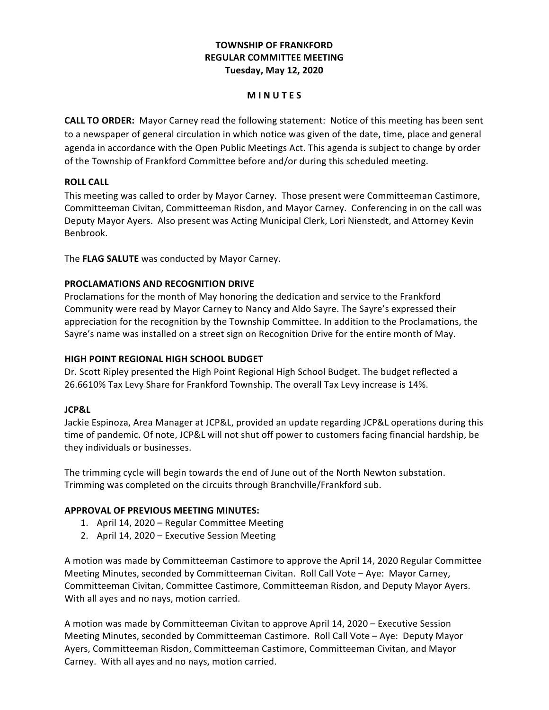## **TOWNSHIP OF FRANKFORD REGULAR COMMITTEE MEETING Tuesday, May 12, 2020**

#### **M I N U T E S**

**CALL TO ORDER:** Mayor Carney read the following statement: Notice of this meeting has been sent to a newspaper of general circulation in which notice was given of the date, time, place and general agenda in accordance with the Open Public Meetings Act. This agenda is subject to change by order of the Township of Frankford Committee before and/or during this scheduled meeting.

## **ROLL CALL**

 This meeting was called to order by Mayor Carney. Those present were Committeeman Castimore, Committeeman Civitan, Committeeman Risdon, and Mayor Carney. Conferencing in on the call was Deputy Mayor Ayers. Also present was Acting Municipal Clerk, Lori Nienstedt, and Attorney Kevin Benbrook.

 The **FLAG SALUTE** was conducted by Mayor Carney.

## **PROCLAMATIONS AND RECOGNITION DRIVE**

Proclamations for the month of May honoring the dedication and service to the Frankford Community were read by Mayor Carney to Nancy and Aldo Sayre. The Sayre's expressed their appreciation for the recognition by the Township Committee. In addition to the Proclamations, the Sayre's name was installed on a street sign on Recognition Drive for the entire month of May.

## **HIGH POINT REGIONAL HIGH SCHOOL BUDGET**

 Dr. Scott Ripley presented the High Point Regional High School Budget. The budget reflected a 26.6610% Tax Levy Share for Frankford Township. The overall Tax Levy increase is 14%.

## **JCP&L**

Jackie Espinoza, Area Manager at JCP&L, provided an update regarding JCP&L operations during this time of pandemic. Of note, JCP&L will not shut off power to customers facing financial hardship, be they individuals or businesses.

The trimming cycle will begin towards the end of June out of the North Newton substation. Trimming was completed on the circuits through Branchville/Frankford sub.

## **APPROVAL OF PREVIOUS MEETING MINUTES:**

- 1. April 14, 2020 Regular Committee Meeting
- 2. April 14, 2020 Executive Session Meeting

A motion was made by Committeeman Castimore to approve the April 14, 2020 Regular Committee Meeting Minutes, seconded by Committeeman Civitan. Roll Call Vote – Aye: Mayor Carney, Committeeman Civitan, Committee Castimore, Committeeman Risdon, and Deputy Mayor Ayers. With all ayes and no nays, motion carried.

A motion was made by Committeeman Civitan to approve April 14, 2020 – Executive Session Meeting Minutes, seconded by Committeeman Castimore. Roll Call Vote – Aye: Deputy Mayor Carney. With all ayes and no nays, motion carried. Ayers, Committeeman Risdon, Committeeman Castimore, Committeeman Civitan, and Mayor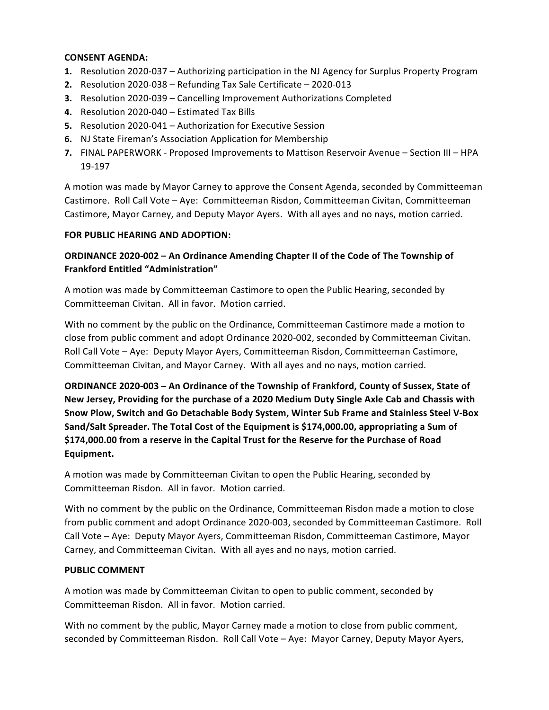## **CONSENT AGENDA:**

- 1. Resolution 2020-037 Authorizing participation in the NJ Agency for Surplus Property Program
- **2.**  Resolution 2020-038 Refunding Tax Sale Certificate 2020-013
- **3.** Resolution 2020-039 Cancelling Improvement Authorizations Completed
- **4.**  Resolution 2020-040 – Estimated Tax Bills
- **5.** Resolution 2020-041 Authorization for Executive Session
- **6.**  NJ State Fireman's Association Application for Membership
- **7.** FINAL PAPERWORK Proposed Improvements to Mattison Reservoir Avenue Section III HPA 19-197

A motion was made by Mayor Carney to approve the Consent Agenda, seconded by Committeeman Castimore. Roll Call Vote - Aye: Committeeman Risdon, Committeeman Civitan, Committeeman Castimore, Mayor Carney, and Deputy Mayor Ayers. With all ayes and no nays, motion carried.

## **FOR PUBLIC HEARING AND ADOPTION:**

## **ORDINANCE 2020-002 – An Ordinance Amending Chapter II of the Code of The Township of Frankford Entitled "Administration"**

A motion was made by Committeeman Castimore to open the Public Hearing, seconded by Committeeman Civitan. All in favor. Motion carried.

With no comment by the public on the Ordinance, Committeeman Castimore made a motion to close from public comment and adopt Ordinance 2020-002, seconded by Committeeman Civitan. Roll Call Vote - Aye: Deputy Mayor Ayers, Committeeman Risdon, Committeeman Castimore, Committeeman Civitan, and Mayor Carney. With all ayes and no nays, motion carried.

 **ORDINANCE 2020-003 – An Ordinance of the Township of Frankford, County of Sussex, State of** New Jersey, Providing for the purchase of a 2020 Medium Duty Single Axle Cab and Chassis with Snow Plow, Switch and Go Detachable Body System, Winter Sub Frame and Stainless Steel V-Box  **Sand/Salt Spreader. The Total Cost of the Equipment is \$174,000.00, appropriating a Sum of**  $$174,000.00$  from a reserve in the Capital Trust for the Reserve for the Purchase of Road **Equipment.**

A motion was made by Committeeman Civitan to open the Public Hearing, seconded by Committeeman Risdon. All in favor. Motion carried.

With no comment by the public on the Ordinance, Committeeman Risdon made a motion to close from public comment and adopt Ordinance 2020-003, seconded by Committeeman Castimore. Roll Call Vote - Aye: Deputy Mayor Ayers, Committeeman Risdon, Committeeman Castimore, Mayor Carney, and Committeeman Civitan. With all ayes and no nays, motion carried.

## **PUBLIC COMMENT**

A motion was made by Committeeman Civitan to open to public comment, seconded by Committeeman Risdon. All in favor. Motion carried.

With no comment by the public, Mayor Carney made a motion to close from public comment, seconded by Committeeman Risdon. Roll Call Vote – Aye: Mayor Carney, Deputy Mayor Ayers,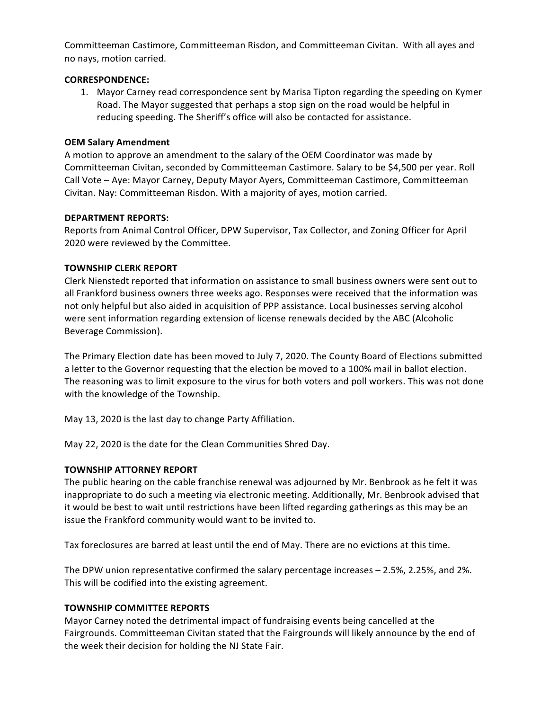Committeeman Castimore, Committeeman Risdon, and Committeeman Civitan. With all ayes and no nays, motion carried.

#### **CORRESPONDENCE:**

1. Mayor Carney read correspondence sent by Marisa Tipton regarding the speeding on Kymer Road. The Mayor suggested that perhaps a stop sign on the road would be helpful in reducing speeding. The Sheriff's office will also be contacted for assistance.

## **OEM Salary Amendment**

A motion to approve an amendment to the salary of the OEM Coordinator was made by Committeeman Civitan, seconded by Committeeman Castimore. Salary to be \$4,500 per year. Roll Call Vote - Aye: Mayor Carney, Deputy Mayor Ayers, Committeeman Castimore, Committeeman Civitan. Nay: Committeeman Risdon. With a majority of ayes, motion carried.

## **DEPARTMENT REPORTS:**

Reports from Animal Control Officer, DPW Supervisor, Tax Collector, and Zoning Officer for April 2020 were reviewed by the Committee.

## **TOWNSHIP CLERK REPORT**

Clerk Nienstedt reported that information on assistance to small business owners were sent out to all Frankford business owners three weeks ago. Responses were received that the information was not only helpful but also aided in acquisition of PPP assistance. Local businesses serving alcohol were sent information regarding extension of license renewals decided by the ABC (Alcoholic Beverage Commission).

 The Primary Election date has been moved to July 7, 2020. The County Board of Elections submitted a letter to the Governor requesting that the election be moved to a 100% mail in ballot election. The reasoning was to limit exposure to the virus for both voters and poll workers. This was not done with the knowledge of the Township.

 May 13, 2020 is the last day to change Party Affiliation.

May 22, 2020 is the date for the Clean Communities Shred Day.

## **TOWNSHIP ATTORNEY REPORT**

 The public hearing on the cable franchise renewal was adjourned by Mr. Benbrook as he felt it was inappropriate to do such a meeting via electronic meeting. Additionally, Mr. Benbrook advised that it would be best to wait until restrictions have been lifted regarding gatherings as this may be an issue the Frankford community would want to be invited to.

 Tax foreclosures are barred at least until the end of May. There are no evictions at this time. 

The DPW union representative confirmed the salary percentage increases - 2.5%, 2.25%, and 2%. This will be codified into the existing agreement.

#### **TOWNSHIP COMMITTEE REPORTS**

Mayor Carney noted the detrimental impact of fundraising events being cancelled at the Fairgrounds. Committeeman Civitan stated that the Fairgrounds will likely announce by the end of the week their decision for holding the NJ State Fair.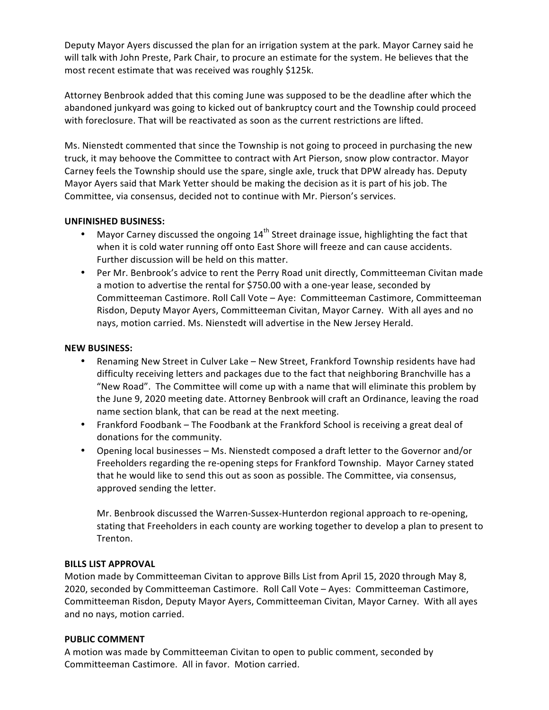Deputy Mayor Ayers discussed the plan for an irrigation system at the park. Mayor Carney said he will talk with John Preste, Park Chair, to procure an estimate for the system. He believes that the most recent estimate that was received was roughly \$125k.

Attorney Benbrook added that this coming June was supposed to be the deadline after which the abandoned junkyard was going to kicked out of bankruptcy court and the Township could proceed with foreclosure. That will be reactivated as soon as the current restrictions are lifted.

Ms. Nienstedt commented that since the Township is not going to proceed in purchasing the new truck, it may behoove the Committee to contract with Art Pierson, snow plow contractor. Mayor Carney feels the Township should use the spare, single axle, truck that DPW already has. Deputy Mayor Ayers said that Mark Yetter should be making the decision as it is part of his job. The Committee, via consensus, decided not to continue with Mr. Pierson's services.

## **UNFINISHED BUSINESS:**

- Mayor Carney discussed the ongoing  $14<sup>th</sup>$  Street drainage issue, highlighting the fact that when it is cold water running off onto East Shore will freeze and can cause accidents. Further discussion will be held on this matter.
- Per Mr. Benbrook's advice to rent the Perry Road unit directly, Committeeman Civitan made a motion to advertise the rental for \$750.00 with a one-year lease, seconded by Committeeman Castimore. Roll Call Vote - Aye: Committeeman Castimore, Committeeman Risdon, Deputy Mayor Ayers, Committeeman Civitan, Mayor Carney. With all ayes and no nays, motion carried. Ms. Nienstedt will advertise in the New Jersey Herald.

#### **NEW BUSINESS:**

- Renaming New Street in Culver Lake New Street, Frankford Township residents have had difficulty receiving letters and packages due to the fact that neighboring Branchville has a "New Road". The Committee will come up with a name that will eliminate this problem by the June 9, 2020 meeting date. Attorney Benbrook will craft an Ordinance, leaving the road name section blank, that can be read at the next meeting.
- Frankford Foodbank The Foodbank at the Frankford School is receiving a great deal of donations for the community.
- • Opening local businesses Ms. Nienstedt composed a draft letter to the Governor and/or Freeholders regarding the re-opening steps for Frankford Township. Mayor Carney stated that he would like to send this out as soon as possible. The Committee, via consensus, approved sending the letter.

Mr. Benbrook discussed the Warren-Sussex-Hunterdon regional approach to re-opening, stating that Freeholders in each county are working together to develop a plan to present to Trenton.

#### **BILLS LIST APPROVAL**

 Motion made by Committeeman Civitan to approve Bills List from April 15, 2020 through May 8, 2020, seconded by Committeeman Castimore. Roll Call Vote - Ayes: Committeeman Castimore, Committeeman Risdon, Deputy Mayor Ayers, Committeeman Civitan, Mayor Carney. With all ayes and no nays, motion carried.

#### **PUBLIC COMMENT**

A motion was made by Committeeman Civitan to open to public comment, seconded by Committeeman Castimore. All in favor. Motion carried.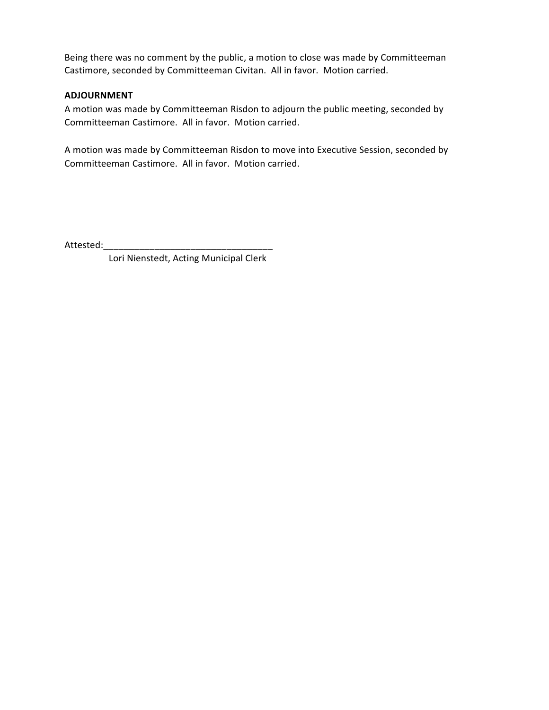Being there was no comment by the public, a motion to close was made by Committeeman Castimore, seconded by Committeeman Civitan. All in favor. Motion carried.

#### **ADJOURNMENT**

A motion was made by Committeeman Risdon to adjourn the public meeting, seconded by Committeeman Castimore. All in favor. Motion carried.

A motion was made by Committeeman Risdon to move into Executive Session, seconded by Committeeman Castimore. All in favor. Motion carried.

Attested:

 Lori Nienstedt, Acting Municipal Clerk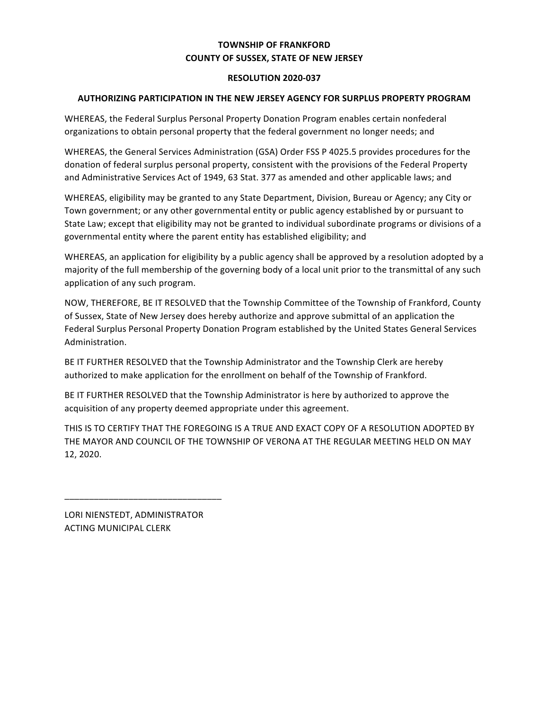## **TOWNSHIP OF FRANKFORD COUNTY OF SUSSEX, STATE OF NEW JERSEY**

#### **RESOLUTION 2020-037**

### **AUTHORIZING PARTICIPATION IN THE NEW JERSEY AGENCY FOR SURPLUS PROPERTY PROGRAM**

 WHEREAS, the Federal Surplus Personal Property Donation Program enables certain nonfederal organizations to obtain personal property that the federal government no longer needs; and

 WHEREAS, the General Services Administration (GSA) Order FSS P 4025.5 provides procedures for the donation of federal surplus personal property, consistent with the provisions of the Federal Property and Administrative Services Act of 1949, 63 Stat. 377 as amended and other applicable laws; and

 WHEREAS, eligibility may be granted to any State Department, Division, Bureau or Agency; any City or Town government; or any other governmental entity or public agency established by or pursuant to State Law; except that eligibility may not be granted to individual subordinate programs or divisions of a governmental entity where the parent entity has established eligibility; and

WHEREAS, an application for eligibility by a public agency shall be approved by a resolution adopted by a majority of the full membership of the governing body of a local unit prior to the transmittal of any such application of any such program.

NOW, THEREFORE, BE IT RESOLVED that the Township Committee of the Township of Frankford, County of Sussex, State of New Jersey does hereby authorize and approve submittal of an application the Federal Surplus Personal Property Donation Program established by the United States General Services Administration.

BE IT FURTHER RESOLVED that the Township Administrator and the Township Clerk are hereby authorized to make application for the enrollment on behalf of the Township of Frankford.

BE IT FURTHER RESOLVED that the Township Administrator is here by authorized to approve the acquisition of any property deemed appropriate under this agreement.

THIS IS TO CERTIFY THAT THE FOREGOING IS A TRUE AND EXACT COPY OF A RESOLUTION ADOPTED BY THE MAYOR AND COUNCIL OF THE TOWNSHIP OF VERONA AT THE REGULAR MEETING HELD ON MAY 12, 2020.

 LORI NIENSTEDT, ADMINISTRATOR ACTING MUNICIPAL CLERK

\_\_\_\_\_\_\_\_\_\_\_\_\_\_\_\_\_\_\_\_\_\_\_\_\_\_\_\_\_\_\_\_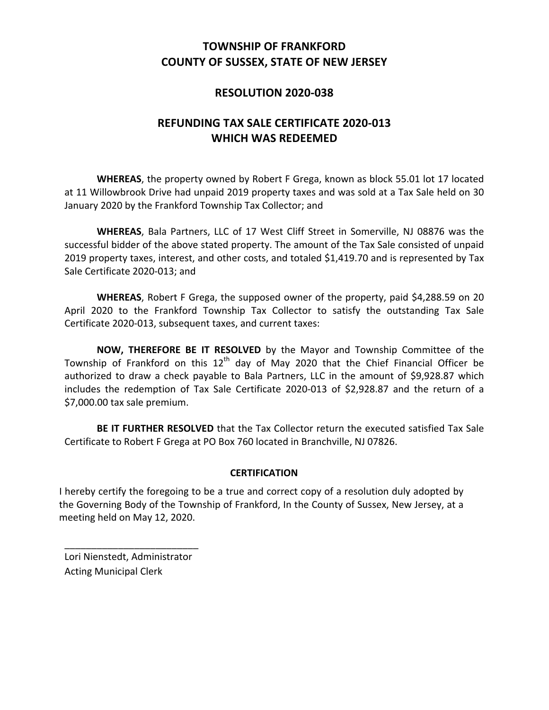# **COUNTY OF SUSSEX, STATE OF NEW JERSEY TOWNSHIP OF FRANKFORD**

# **RESOLUTION 2020-038**

# **REFUNDING TAX SALE CERTIFICATE 2020-013 WHICH WAS REDEEMED**

WHEREAS, the property owned by Robert F Grega, known as block 55.01 lot 17 located at 11 Willowbrook Drive had unpaid 2019 property taxes and was sold at a Tax Sale held on 30 January 2020 by the Frankford Township Tax Collector; and

WHEREAS, Bala Partners, LLC of 17 West Cliff Street in Somerville, NJ 08876 was the successful bidder of the above stated property. The amount of the Tax Sale consisted of unpaid 2019 property taxes, interest, and other costs, and totaled \$1,419.70 and is represented by Tax Sale Certificate 2020-013; and

WHEREAS, Robert F Grega, the supposed owner of the property, paid \$4,288.59 on 20 April 2020 to the Frankford Township Tax Collector to satisfy the outstanding Tax Sale Certificate 2020-013, subsequent taxes, and current taxes:

**NOW, THEREFORE BE IT RESOLVED** by the Mayor and Township Committee of the Township of Frankford on this 12<sup>th</sup> day of May 2020 that the Chief Financial Officer be authorized to draw a check payable to Bala Partners, LLC in the amount of \$9,928.87 which includes the redemption of Tax Sale Certificate 2020-013 of \$2,928.87 and the return of a \$7,000.00 tax sale premium.

BE IT FURTHER RESOLVED that the Tax Collector return the executed satisfied Tax Sale Certificate to Robert F Grega at PO Box 760 located in Branchville, NJ 07826.

## **CERTIFICATION**

I hereby certify the foregoing to be a true and correct copy of a resolution duly adopted by the Governing Body of the Township of Frankford, In the County of Sussex, New Jersey, at a meeting held on May 12, 2020.

 Lori Nienstedt, Administrator Acting Municipal Clerk

\_\_\_\_\_\_\_\_\_\_\_\_\_\_\_\_\_\_\_\_\_\_\_\_\_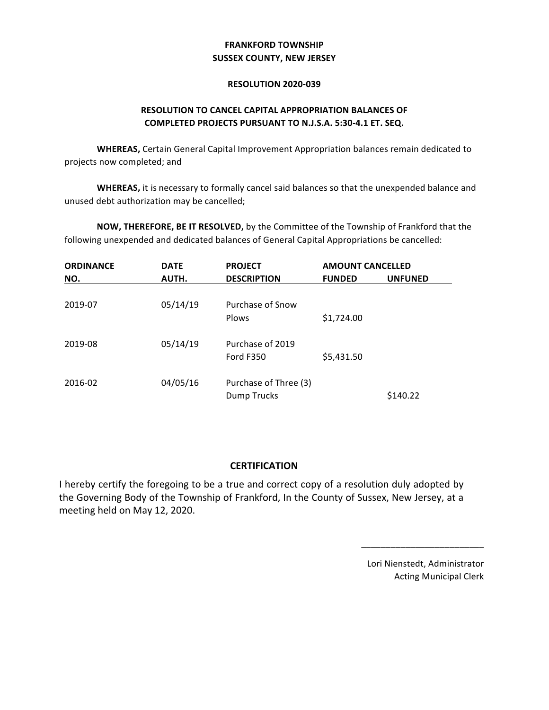## **SUSSEX COUNTY, NEW JERSEY FRANKFORD TOWNSHIP**

#### **RESOLUTION 2020-039**

## **RESOLUTION TO CANCEL CAPITAL APPROPRIATION BALANCES OF COMPLETED PROJECTS PURSUANT TO N.J.S.A. 5:30-4.1 ET. SEQ.**

**WHEREAS,** Certain General Capital Improvement Appropriation balances remain dedicated to projects now completed; and

unused debt authorization may be cancelled; **WHEREAS,** it is necessary to formally cancel said balances so that the unexpended balance and

**NOW, THEREFORE, BE IT RESOLVED,** by the Committee of the Township of Frankford that the following unexpended and dedicated balances of General Capital Appropriations be cancelled:

| <b>ORDINANCE</b> | <b>DATE</b> | <b>PROJECT</b>                       | <b>AMOUNT CANCELLED</b> |                |
|------------------|-------------|--------------------------------------|-------------------------|----------------|
| NO.              | AUTH.       | <b>DESCRIPTION</b>                   | <b>FUNDED</b>           | <b>UNFUNED</b> |
| 2019-07          | 05/14/19    | Purchase of Snow<br><b>Plows</b>     | \$1,724.00              |                |
| 2019-08          | 05/14/19    | Purchase of 2019<br><b>Ford F350</b> | \$5,431.50              |                |
| 2016-02          | 04/05/16    | Purchase of Three (3)<br>Dump Trucks |                         | \$140.22       |

## **CERTIFICATION**

I hereby certify the foregoing to be a true and correct copy of a resolution duly adopted by the Governing Body of the Township of Frankford, In the County of Sussex, New Jersey, at a meeting held on May 12, 2020.

> Lori Nienstedt, Administrator Acting Municipal Clerk

\_\_\_\_\_\_\_\_\_\_\_\_\_\_\_\_\_\_\_\_\_\_\_\_\_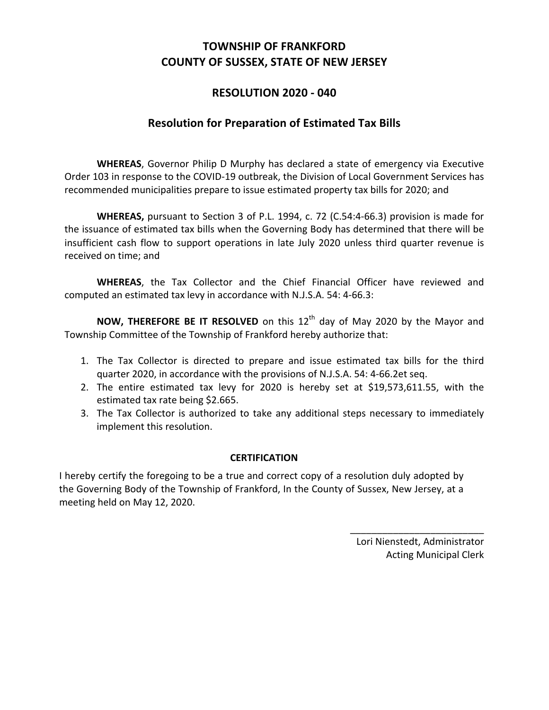# **COUNTY OF SUSSEX, STATE OF NEW JERSEY TOWNSHIP OF FRANKFORD**

# **RESOLUTION 2020 - 040**

# **Resolution for Preparation of Estimated Tax Bills**

WHEREAS, Governor Philip D Murphy has declared a state of emergency via Executive Order 103 in response to the COVID-19 outbreak, the Division of Local Government Services has recommended municipalities prepare to issue estimated property tax bills for 2020; and

WHEREAS, pursuant to Section 3 of P.L. 1994, c. 72 (C.54:4-66.3) provision is made for the issuance of estimated tax bills when the Governing Body has determined that there will be insufficient cash flow to support operations in late July 2020 unless third quarter revenue is received on time; and

 **WHEREAS**, the Tax Collector and the Chief Financial Officer have reviewed and computed an estimated tax levy in accordance with N.J.S.A. 54: 4-66.3: 

**NOW, THEREFORE BE IT RESOLVED** on this 12<sup>th</sup> day of May 2020 by the Mayor and Township Committee of the Township of Frankford hereby authorize that:

- 1. The Tax Collector is directed to prepare and issue estimated tax bills for the third quarter 2020, in accordance with the provisions of N.J.S.A. 54: 4-66.2et seq.
- 2. The entire estimated tax levy for 2020 is hereby set at \$19,573,611.55, with the estimated tax rate being \$2.665.
- 3. The Tax Collector is authorized to take any additional steps necessary to immediately implement this resolution.

## **CERTIFICATION**

I hereby certify the foregoing to be a true and correct copy of a resolution duly adopted by the Governing Body of the Township of Frankford, In the County of Sussex, New Jersey, at a meeting held on May 12, 2020.

> Lori Nienstedt, Administrator Acting Municipal Clerk

\_\_\_\_\_\_\_\_\_\_\_\_\_\_\_\_\_\_\_\_\_\_\_\_\_